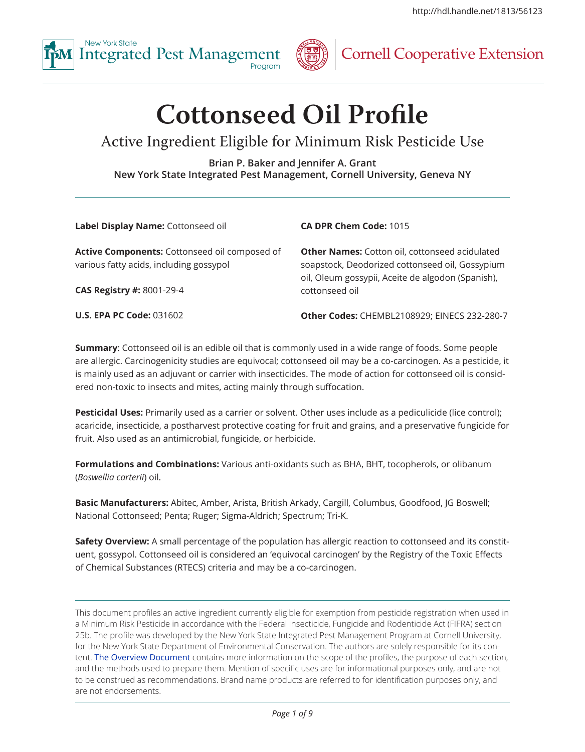



# **Integrate Cooperative Extension**

# **Cottonseed Oil Profile**

# Active Ingredient Eligible for Minimum Risk Pesticide Use

**Brian P. Baker and Jennifer A. Grant New York State Integrated Pest Management, Cornell University, Geneva NY**

**Label Display Name:** Cottonseed oil

#### **Active Components:** Cottonseed oil composed of various fatty acids, including gossypol

**CAS Registry #:** 8001-29-4

**U.S. EPA PC Code:** 031602

**CA DPR Chem Code:** 1015

**Other Names:** Cotton oil, cottonseed acidulated soapstock, Deodorized cottonseed oil, Gossypium oil, Oleum gossypii, Aceite de algodon (Spanish), cottonseed oil

**Other Codes:** CHEMBL2108929; EINECS 232-280-7

**Summary**: Cottonseed oil is an edible oil that is commonly used in a wide range of foods. Some people are allergic. Carcinogenicity studies are equivocal; cottonseed oil may be a co-carcinogen. As a pesticide, it is mainly used as an adjuvant or carrier with insecticides. The mode of action for cottonseed oil is considered non-toxic to insects and mites, acting mainly through suffocation.

**Pesticidal Uses:** Primarily used as a carrier or solvent. Other uses include as a pediculicide (lice control); acaricide, insecticide, a postharvest protective coating for fruit and grains, and a preservative fungicide for fruit. Also used as an antimicrobial, fungicide, or herbicide.

**Formulations and Combinations:** Various anti-oxidants such as BHA, BHT, tocopherols, or olibanum (*Boswellia carterii*) oil.

**Basic Manufacturers:** Abitec, Amber, Arista, British Arkady, Cargill, Columbus, Goodfood, JG Boswell; National Cottonseed; Penta; Ruger; Sigma-Aldrich; Spectrum; Tri-K.

**Safety Overview:** A small percentage of the population has allergic reaction to cottonseed and its constituent, gossypol. Cottonseed oil is considered an 'equivocal carcinogen' by the Registry of the Toxic Effects of Chemical Substances (RTECS) criteria and may be a co-carcinogen.

This document profiles an active ingredient currently eligible for exemption from pesticide registration when used in a Minimum Risk Pesticide in accordance with the Federal Insecticide, Fungicide and Rodenticide Act (FIFRA) section 25b. The profile was developed by the New York State Integrated Pest Management Program at Cornell University, for the New York State Department of Environmental Conservation. The authors are solely responsible for its content. [The Overview Document](http://hdl.handle.net/1813/52630) contains more information on the scope of the profiles, the purpose of each section, and the methods used to prepare them. Mention of specific uses are for informational purposes only, and are not to be construed as recommendations. Brand name products are referred to for identification purposes only, and are not endorsements.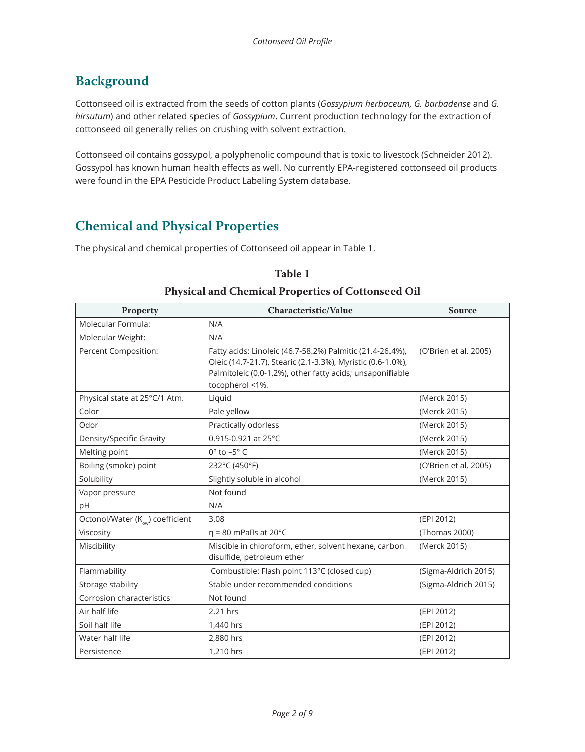# **Background**

Cottonseed oil is extracted from the seeds of cotton plants (*Gossypium herbaceum, G. barbadense* and *G. hirsutum*) and other related species of *Gossypium*. Current production technology for the extraction of cottonseed oil generally relies on crushing with solvent extraction.

Cottonseed oil contains gossypol, a polyphenolic compound that is toxic to livestock (Schneider 2012). Gossypol has known human health effects as well. No currently EPA-registered cottonseed oil products were found in the EPA Pesticide Product Labeling System database.

## **Chemical and Physical Properties**

The physical and chemical properties of Cottonseed oil appear in Table 1.

## **Table 1**

#### **Physical and Chemical Properties of Cottonseed Oil**

| Property                                     | Characteristic/Value                                                                                                                                                                                     | <b>Source</b>         |
|----------------------------------------------|----------------------------------------------------------------------------------------------------------------------------------------------------------------------------------------------------------|-----------------------|
| Molecular Formula:                           | N/A                                                                                                                                                                                                      |                       |
| Molecular Weight:                            | N/A                                                                                                                                                                                                      |                       |
| Percent Composition:                         | Fatty acids: Linoleic (46.7-58.2%) Palmitic (21.4-26.4%),<br>Oleic (14.7-21.7), Stearic (2.1-3.3%), Myristic (0.6-1.0%),<br>Palmitoleic (0.0-1.2%), other fatty acids; unsaponifiable<br>tocopherol <1%. | (O'Brien et al. 2005) |
| Physical state at 25°C/1 Atm.                | Liquid                                                                                                                                                                                                   | (Merck 2015)          |
| Color                                        | Pale yellow                                                                                                                                                                                              | (Merck 2015)          |
| Odor                                         | Practically odorless                                                                                                                                                                                     | (Merck 2015)          |
| Density/Specific Gravity                     | 0.915-0.921 at 25°C                                                                                                                                                                                      | (Merck 2015)          |
| Melting point                                | $0^\circ$ to $-5^\circ$ C                                                                                                                                                                                | (Merck 2015)          |
| Boiling (smoke) point                        | 232°C (450°F)                                                                                                                                                                                            | (O'Brien et al. 2005) |
| Solubility                                   | Slightly soluble in alcohol                                                                                                                                                                              | (Merck 2015)          |
| Vapor pressure                               | Not found                                                                                                                                                                                                |                       |
| pH                                           | N/A                                                                                                                                                                                                      |                       |
| Octonol/Water (K <sub>ow</sub> ) coefficient | 3.08                                                                                                                                                                                                     | (EPI 2012)            |
| Viscosity                                    | $\eta$ = 80 mPa $\Box$ s at 20°C                                                                                                                                                                         | (Thomas 2000)         |
| Miscibility                                  | Miscible in chloroform, ether, solvent hexane, carbon<br>disulfide, petroleum ether                                                                                                                      | (Merck 2015)          |
| Flammability                                 | Combustible: Flash point 113°C (closed cup)                                                                                                                                                              | (Sigma-Aldrich 2015)  |
| Storage stability                            | Stable under recommended conditions                                                                                                                                                                      | (Sigma-Aldrich 2015)  |
| Corrosion characteristics                    | Not found                                                                                                                                                                                                |                       |
| Air half life                                | 2.21 hrs                                                                                                                                                                                                 | (EPI 2012)            |
| Soil half life                               | 1,440 hrs                                                                                                                                                                                                | (EPI 2012)            |
| Water half life                              | 2,880 hrs                                                                                                                                                                                                | (EPI 2012)            |
| Persistence                                  | 1,210 hrs                                                                                                                                                                                                | (EPI 2012)            |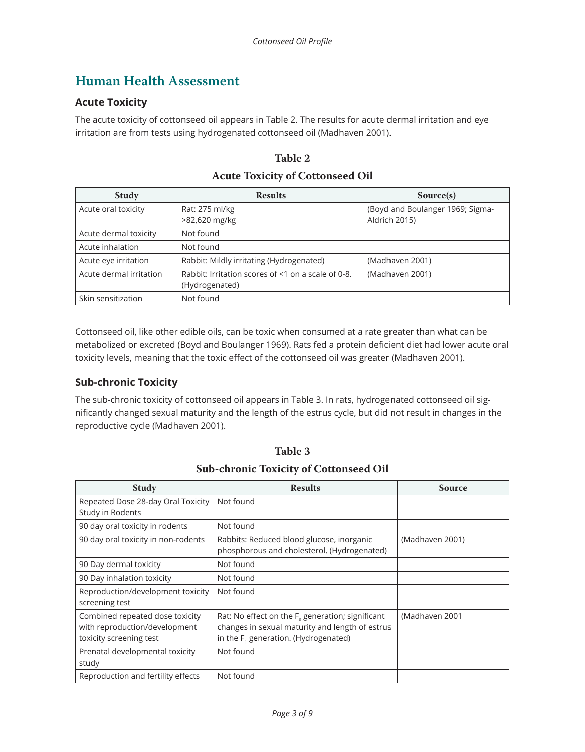## **Human Health Assessment**

## **Acute Toxicity**

The acute toxicity of cottonseed oil appears in Table 2. The results for acute dermal irritation and eye irritation are from tests using hydrogenated cottonseed oil (Madhaven 2001).

| <b>Study</b>            | <b>Results</b>                                                       | Source(s)                                         |  |  |
|-------------------------|----------------------------------------------------------------------|---------------------------------------------------|--|--|
| Acute oral toxicity     | Rat: 275 ml/kg<br>>82,620 mg/kg                                      | (Boyd and Boulanger 1969; Sigma-<br>Aldrich 2015) |  |  |
| Acute dermal toxicity   | Not found                                                            |                                                   |  |  |
| Acute inhalation        | Not found                                                            |                                                   |  |  |
| Acute eye irritation    | Rabbit: Mildly irritating (Hydrogenated)                             | (Madhaven 2001)                                   |  |  |
| Acute dermal irritation | Rabbit: Irritation scores of <1 on a scale of 0-8.<br>(Hydrogenated) | (Madhaven 2001)                                   |  |  |
| Skin sensitization      | Not found                                                            |                                                   |  |  |

**Table 2 Acute Toxicity of Cottonseed Oil**

Cottonseed oil, like other edible oils, can be toxic when consumed at a rate greater than what can be metabolized or excreted (Boyd and Boulanger 1969). Rats fed a protein deficient diet had lower acute oral toxicity levels, meaning that the toxic effect of the cottonseed oil was greater (Madhaven 2001).

## **Sub-chronic Toxicity**

The sub-chronic toxicity of cottonseed oil appears in Table 3. In rats, hydrogenated cottonseed oil significantly changed sexual maturity and the length of the estrus cycle, but did not result in changes in the reproductive cycle (Madhaven 2001).

| <b>SUB-CHIVING TUAILITY OF COLLOHSEEU OIL</b> |                                                     |                 |  |  |
|-----------------------------------------------|-----------------------------------------------------|-----------------|--|--|
| <b>Study</b>                                  | <b>Results</b>                                      | Source          |  |  |
| Repeated Dose 28-day Oral Toxicity            | Not found                                           |                 |  |  |
| Study in Rodents                              |                                                     |                 |  |  |
| 90 day oral toxicity in rodents               | Not found                                           |                 |  |  |
| 90 day oral toxicity in non-rodents           | Rabbits: Reduced blood glucose, inorganic           | (Madhaven 2001) |  |  |
|                                               | phosphorous and cholesterol. (Hydrogenated)         |                 |  |  |
| 90 Day dermal toxicity                        | Not found                                           |                 |  |  |
| 90 Day inhalation toxicity                    | Not found                                           |                 |  |  |
| Reproduction/development toxicity             | Not found                                           |                 |  |  |
| screening test                                |                                                     |                 |  |  |
| Combined repeated dose toxicity               | Rat: No effect on the $F_0$ generation; significant | (Madhaven 2001  |  |  |
| with reproduction/development                 | changes in sexual maturity and length of estrus     |                 |  |  |
| toxicity screening test                       | in the F <sub>1</sub> generation. (Hydrogenated)    |                 |  |  |
| Prenatal developmental toxicity               | Not found                                           |                 |  |  |
| study                                         |                                                     |                 |  |  |
| Reproduction and fertility effects            | Not found                                           |                 |  |  |

**Table 3**

**Sub-chronic Toxicity of Cottonseed Oil**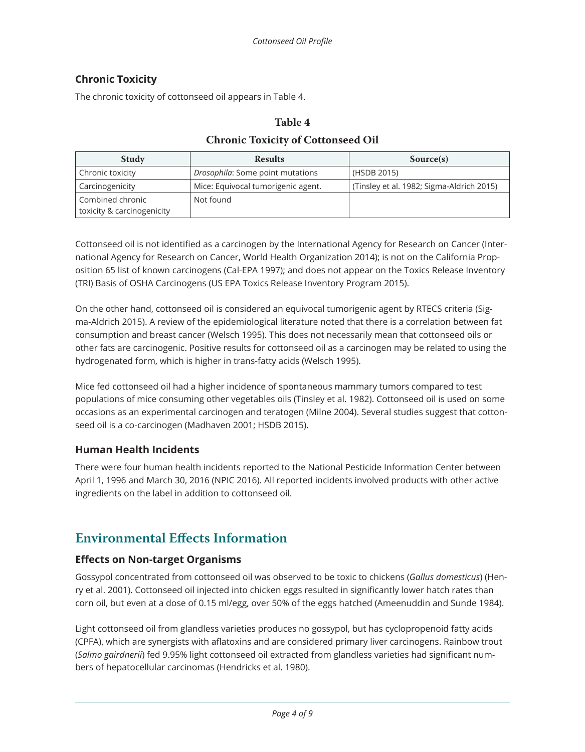## **Chronic Toxicity**

The chronic toxicity of cottonseed oil appears in Table 4.

# **Table 4 Chronic Toxicity of Cottonseed Oil**

| <b>Study</b>                                   | <b>Results</b>                     | Source(s)                                 |
|------------------------------------------------|------------------------------------|-------------------------------------------|
| Chronic toxicity                               | Drosophila: Some point mutations   | (HSDB 2015)                               |
| Carcinogenicity                                | Mice: Equivocal tumorigenic agent. | (Tinsley et al. 1982; Sigma-Aldrich 2015) |
| Combined chronic<br>toxicity & carcinogenicity | Not found                          |                                           |

Cottonseed oil is not identified as a carcinogen by the International Agency for Research on Cancer (International Agency for Research on Cancer, World Health Organization 2014); is not on the California Proposition 65 list of known carcinogens (Cal-EPA 1997); and does not appear on the Toxics Release Inventory (TRI) Basis of OSHA Carcinogens (US EPA Toxics Release Inventory Program 2015).

On the other hand, cottonseed oil is considered an equivocal tumorigenic agent by RTECS criteria (Sigma-Aldrich 2015). A review of the epidemiological literature noted that there is a correlation between fat consumption and breast cancer (Welsch 1995). This does not necessarily mean that cottonseed oils or other fats are carcinogenic. Positive results for cottonseed oil as a carcinogen may be related to using the hydrogenated form, which is higher in trans-fatty acids (Welsch 1995).

Mice fed cottonseed oil had a higher incidence of spontaneous mammary tumors compared to test populations of mice consuming other vegetables oils (Tinsley et al. 1982). Cottonseed oil is used on some occasions as an experimental carcinogen and teratogen (Milne 2004). Several studies suggest that cottonseed oil is a co-carcinogen (Madhaven 2001; HSDB 2015).

## **Human Health Incidents**

There were four human health incidents reported to the National Pesticide Information Center between April 1, 1996 and March 30, 2016 (NPIC 2016). All reported incidents involved products with other active ingredients on the label in addition to cottonseed oil.

## **Environmental Effects Information**

#### **Effects on Non-target Organisms**

Gossypol concentrated from cottonseed oil was observed to be toxic to chickens (*Gallus domesticus*) (Henry et al. 2001). Cottonseed oil injected into chicken eggs resulted in significantly lower hatch rates than corn oil, but even at a dose of 0.15 ml/egg, over 50% of the eggs hatched (Ameenuddin and Sunde 1984).

Light cottonseed oil from glandless varieties produces no gossypol, but has cyclopropenoid fatty acids (CPFA), which are synergists with aflatoxins and are considered primary liver carcinogens. Rainbow trout (*Salmo gairdnerii*) fed 9.95% light cottonseed oil extracted from glandless varieties had significant numbers of hepatocellular carcinomas (Hendricks et al. 1980).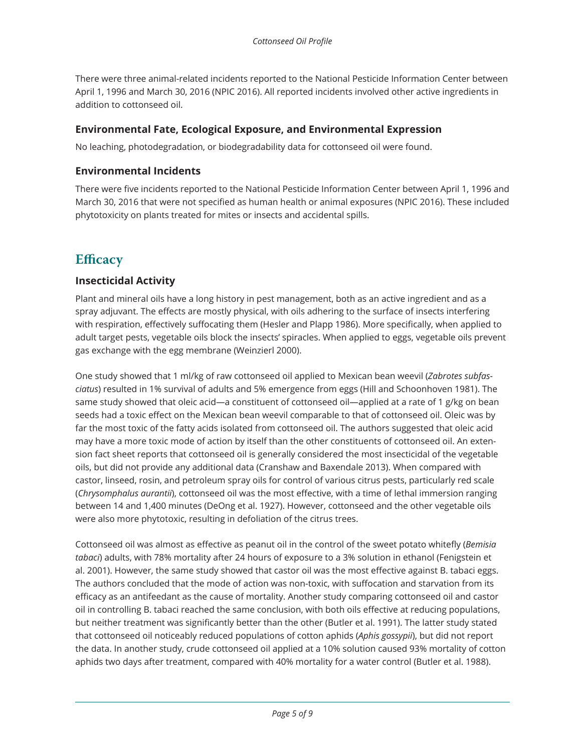There were three animal-related incidents reported to the National Pesticide Information Center between April 1, 1996 and March 30, 2016 (NPIC 2016). All reported incidents involved other active ingredients in addition to cottonseed oil.

## **Environmental Fate, Ecological Exposure, and Environmental Expression**

No leaching, photodegradation, or biodegradability data for cottonseed oil were found.

## **Environmental Incidents**

There were five incidents reported to the National Pesticide Information Center between April 1, 1996 and March 30, 2016 that were not specified as human health or animal exposures (NPIC 2016). These included phytotoxicity on plants treated for mites or insects and accidental spills.

## **Efficacy**

#### **Insecticidal Activity**

Plant and mineral oils have a long history in pest management, both as an active ingredient and as a spray adjuvant. The effects are mostly physical, with oils adhering to the surface of insects interfering with respiration, effectively suffocating them (Hesler and Plapp 1986). More specifically, when applied to adult target pests, vegetable oils block the insects' spiracles. When applied to eggs, vegetable oils prevent gas exchange with the egg membrane (Weinzierl 2000).

One study showed that 1 ml/kg of raw cottonseed oil applied to Mexican bean weevil (*Zabrotes subfasciatus*) resulted in 1% survival of adults and 5% emergence from eggs (Hill and Schoonhoven 1981). The same study showed that oleic acid—a constituent of cottonseed oil—applied at a rate of 1 g/kg on bean seeds had a toxic effect on the Mexican bean weevil comparable to that of cottonseed oil. Oleic was by far the most toxic of the fatty acids isolated from cottonseed oil. The authors suggested that oleic acid may have a more toxic mode of action by itself than the other constituents of cottonseed oil. An extension fact sheet reports that cottonseed oil is generally considered the most insecticidal of the vegetable oils, but did not provide any additional data (Cranshaw and Baxendale 2013). When compared with castor, linseed, rosin, and petroleum spray oils for control of various citrus pests, particularly red scale (*Chrysomphalus aurantii*), cottonseed oil was the most effective, with a time of lethal immersion ranging between 14 and 1,400 minutes (DeOng et al. 1927). However, cottonseed and the other vegetable oils were also more phytotoxic, resulting in defoliation of the citrus trees.

Cottonseed oil was almost as effective as peanut oil in the control of the sweet potato whitefly (*Bemisia tabaci*) adults, with 78% mortality after 24 hours of exposure to a 3% solution in ethanol (Fenigstein et al. 2001). However, the same study showed that castor oil was the most effective against B. tabaci eggs. The authors concluded that the mode of action was non-toxic, with suffocation and starvation from its efficacy as an antifeedant as the cause of mortality. Another study comparing cottonseed oil and castor oil in controlling B. tabaci reached the same conclusion, with both oils effective at reducing populations, but neither treatment was significantly better than the other (Butler et al. 1991). The latter study stated that cottonseed oil noticeably reduced populations of cotton aphids (*Aphis gossypii*), but did not report the data. In another study, crude cottonseed oil applied at a 10% solution caused 93% mortality of cotton aphids two days after treatment, compared with 40% mortality for a water control (Butler et al. 1988).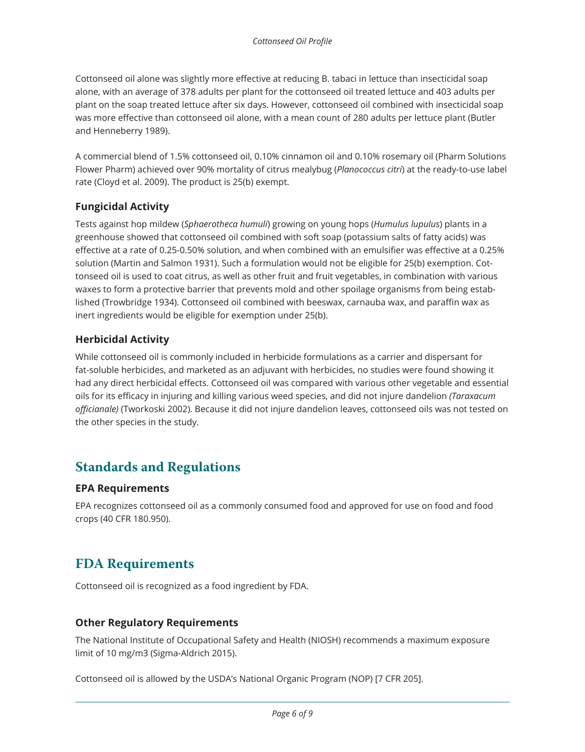Cottonseed oil alone was slightly more effective at reducing B. tabaci in lettuce than insecticidal soap alone, with an average of 378 adults per plant for the cottonseed oil treated lettuce and 403 adults per plant on the soap treated lettuce after six days. However, cottonseed oil combined with insecticidal soap was more effective than cottonseed oil alone, with a mean count of 280 adults per lettuce plant (Butler and Henneberry 1989).

A commercial blend of 1.5% cottonseed oil, 0.10% cinnamon oil and 0.10% rosemary oil (Pharm Solutions Flower Pharm) achieved over 90% mortality of citrus mealybug (*Planococcus citri*) at the ready-to-use label rate (Cloyd et al. 2009). The product is 25(b) exempt.

## **Fungicidal Activity**

Tests against hop mildew (*Sphaerotheca humuli*) growing on young hops (*Humulus lupulus*) plants in a greenhouse showed that cottonseed oil combined with soft soap (potassium salts of fatty acids) was effective at a rate of 0.25-0.50% solution, and when combined with an emulsifier was effective at a 0.25% solution (Martin and Salmon 1931). Such a formulation would not be eligible for 25(b) exemption. Cottonseed oil is used to coat citrus, as well as other fruit and fruit vegetables, in combination with various waxes to form a protective barrier that prevents mold and other spoilage organisms from being established (Trowbridge 1934). Cottonseed oil combined with beeswax, carnauba wax, and paraffin wax as inert ingredients would be eligible for exemption under 25(b).

#### **Herbicidal Activity**

While cottonseed oil is commonly included in herbicide formulations as a carrier and dispersant for fat-soluble herbicides, and marketed as an adjuvant with herbicides, no studies were found showing it had any direct herbicidal effects. Cottonseed oil was compared with various other vegetable and essential oils for its efficacy in injuring and killing various weed species, and did not injure dandelion *(Taraxacum officianale)* (Tworkoski 2002). Because it did not injure dandelion leaves, cottonseed oils was not tested on the other species in the study.

## **Standards and Regulations**

#### **EPA Requirements**

EPA recognizes cottonseed oil as a commonly consumed food and approved for use on food and food crops (40 CFR 180.950).

## **FDA Requirements**

Cottonseed oil is recognized as a food ingredient by FDA.

#### **Other Regulatory Requirements**

The National Institute of Occupational Safety and Health (NIOSH) recommends a maximum exposure limit of 10 mg/m3 (Sigma-Aldrich 2015).

Cottonseed oil is allowed by the USDA's National Organic Program (NOP) [7 CFR 205].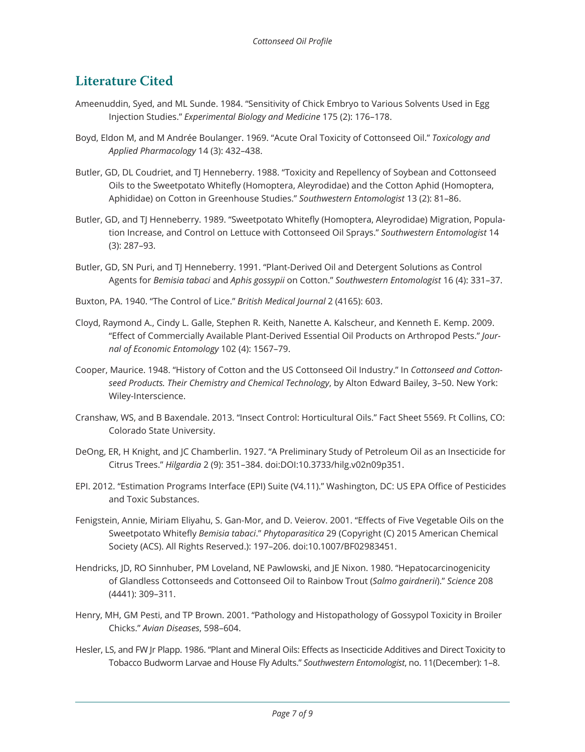## **Literature Cited**

- Ameenuddin, Syed, and ML Sunde. 1984. "Sensitivity of Chick Embryo to Various Solvents Used in Egg Injection Studies." *Experimental Biology and Medicine* 175 (2): 176–178.
- Boyd, Eldon M, and M Andrée Boulanger. 1969. "Acute Oral Toxicity of Cottonseed Oil." *Toxicology and Applied Pharmacology* 14 (3): 432–438.
- Butler, GD, DL Coudriet, and TJ Henneberry. 1988. "Toxicity and Repellency of Soybean and Cottonseed Oils to the Sweetpotato Whitefly (Homoptera, Aleyrodidae) and the Cotton Aphid (Homoptera, Aphididae) on Cotton in Greenhouse Studies." *Southwestern Entomologist* 13 (2): 81–86.
- Butler, GD, and TJ Henneberry. 1989. "Sweetpotato Whitefly (Homoptera, Aleyrodidae) Migration, Population Increase, and Control on Lettuce with Cottonseed Oil Sprays." *Southwestern Entomologist* 14 (3): 287–93.
- Butler, GD, SN Puri, and TJ Henneberry. 1991. "Plant-Derived Oil and Detergent Solutions as Control Agents for *Bemisia tabaci* and *Aphis gossypii* on Cotton." *Southwestern Entomologist* 16 (4): 331–37.
- Buxton, PA. 1940. "The Control of Lice." *British Medical Journal* 2 (4165): 603.
- Cloyd, Raymond A., Cindy L. Galle, Stephen R. Keith, Nanette A. Kalscheur, and Kenneth E. Kemp. 2009. "Effect of Commercially Available Plant-Derived Essential Oil Products on Arthropod Pests." *Journal of Economic Entomology* 102 (4): 1567–79.
- Cooper, Maurice. 1948. "History of Cotton and the US Cottonseed Oil Industry." In *Cottonseed and Cottonseed Products. Their Chemistry and Chemical Technology*, by Alton Edward Bailey, 3–50. New York: Wiley-Interscience.
- Cranshaw, WS, and B Baxendale. 2013. "Insect Control: Horticultural Oils." Fact Sheet 5569. Ft Collins, CO: Colorado State University.
- DeOng, ER, H Knight, and JC Chamberlin. 1927. "A Preliminary Study of Petroleum Oil as an Insecticide for Citrus Trees." *Hilgardia* 2 (9): 351–384. doi:DOI:10.3733/hilg.v02n09p351.
- EPI. 2012. "Estimation Programs Interface (EPI) Suite (V4.11)." Washington, DC: US EPA Office of Pesticides and Toxic Substances.
- Fenigstein, Annie, Miriam Eliyahu, S. Gan-Mor, and D. Veierov. 2001. "Effects of Five Vegetable Oils on the Sweetpotato Whitefly *Bemisia tabaci*." *Phytoparasitica* 29 (Copyright (C) 2015 American Chemical Society (ACS). All Rights Reserved.): 197–206. doi:10.1007/BF02983451.
- Hendricks, JD, RO Sinnhuber, PM Loveland, NE Pawlowski, and JE Nixon. 1980. "Hepatocarcinogenicity of Glandless Cottonseeds and Cottonseed Oil to Rainbow Trout (*Salmo gairdnerii*)." *Science* 208 (4441): 309–311.
- Henry, MH, GM Pesti, and TP Brown. 2001. "Pathology and Histopathology of Gossypol Toxicity in Broiler Chicks." *Avian Diseases*, 598–604.
- Hesler, LS, and FW Jr Plapp. 1986. "Plant and Mineral Oils: Effects as Insecticide Additives and Direct Toxicity to Tobacco Budworm Larvae and House Fly Adults." *Southwestern Entomologist*, no. 11(December): 1–8.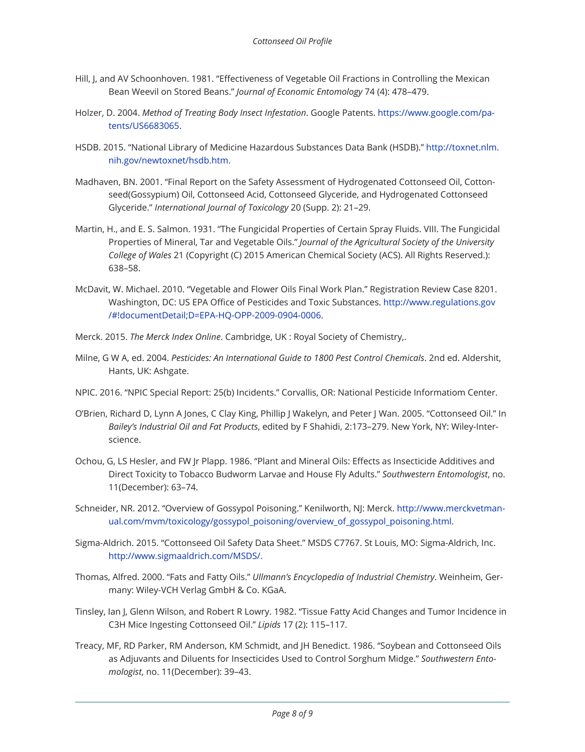- Hill, J, and AV Schoonhoven. 1981. "Effectiveness of Vegetable Oil Fractions in Controlling the Mexican Bean Weevil on Stored Beans." *Journal of Economic Entomology* 74 (4): 478–479.
- Holzer, D. 2004. *Method of Treating Body Insect Infestation*. Google Patents. https://www.google.com/patents/US6683065.
- HSDB. 2015. "National Library of Medicine Hazardous Substances Data Bank (HSDB)." http://toxnet.nlm. nih.gov/newtoxnet/hsdb.htm.
- Madhaven, BN. 2001. "Final Report on the Safety Assessment of Hydrogenated Cottonseed Oil, Cottonseed(Gossypium) Oil, Cottonseed Acid, Cottonseed Glyceride, and Hydrogenated Cottonseed Glyceride." *International Journal of Toxicology* 20 (Supp. 2): 21–29.
- Martin, H., and E. S. Salmon. 1931. "The Fungicidal Properties of Certain Spray Fluids. VIII. The Fungicidal Properties of Mineral, Tar and Vegetable Oils." *Journal of the Agricultural Society of the University College of Wales* 21 (Copyright (C) 2015 American Chemical Society (ACS). All Rights Reserved.): 638–58.
- McDavit, W. Michael. 2010. "Vegetable and Flower Oils Final Work Plan." Registration Review Case 8201. Washington, DC: US EPA Office of Pesticides and Toxic Substances. http://www.regulations.gov /#!documentDetail;D=EPA-HQ-OPP-2009-0904-0006.
- Merck. 2015. *The Merck Index Online*. Cambridge, UK : Royal Society of Chemistry,.
- Milne, G W A, ed. 2004. *Pesticides: An International Guide to 1800 Pest Control Chemicals*. 2nd ed. Aldershit, Hants, UK: Ashgate.
- NPIC. 2016. "NPIC Special Report: 25(b) Incidents." Corvallis, OR: National Pesticide Informatiom Center.
- O'Brien, Richard D, Lynn A Jones, C Clay King, Phillip J Wakelyn, and Peter J Wan. 2005. "Cottonseed Oil." In *Bailey's Industrial Oil and Fat Products*, edited by F Shahidi, 2:173–279. New York, NY: Wiley-Interscience.
- Ochou, G, LS Hesler, and FW Jr Plapp. 1986. "Plant and Mineral Oils: Effects as Insecticide Additives and Direct Toxicity to Tobacco Budworm Larvae and House Fly Adults." *Southwestern Entomologist*, no. 11(December): 63–74.
- Schneider, NR. 2012. "Overview of Gossypol Poisoning." Kenilworth, NJ: Merck. http://www.merckvetmanual.com/mvm/toxicology/gossypol\_poisoning/overview\_of\_gossypol\_poisoning.html.
- Sigma-Aldrich. 2015. "Cottonseed Oil Safety Data Sheet." MSDS C7767. St Louis, MO: Sigma-Aldrich, Inc. http://www.sigmaaldrich.com/MSDS/.
- Thomas, Alfred. 2000. "Fats and Fatty Oils." *Ullmann's Encyclopedia of Industrial Chemistry*. Weinheim, Germany: Wiley-VCH Verlag GmbH & Co. KGaA.
- Tinsley, Ian J, Glenn Wilson, and Robert R Lowry. 1982. "Tissue Fatty Acid Changes and Tumor Incidence in C3H Mice Ingesting Cottonseed Oil." *Lipids* 17 (2): 115–117.
- Treacy, MF, RD Parker, RM Anderson, KM Schmidt, and JH Benedict. 1986. "Soybean and Cottonseed Oils as Adjuvants and Diluents for Insecticides Used to Control Sorghum Midge." *Southwestern Entomologist*, no. 11(December): 39–43.